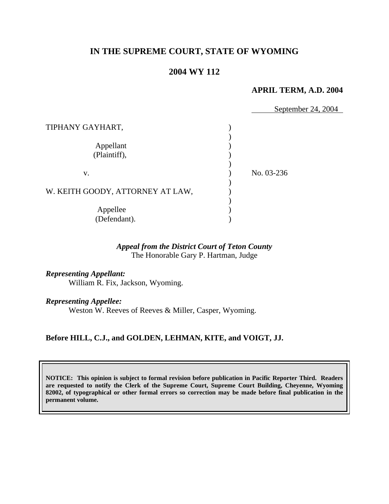# **IN THE SUPREME COURT, STATE OF WYOMING**

# **2004 WY 112**

#### **APRIL TERM, A.D. 2004**

|                                  | September 24, 2004 |
|----------------------------------|--------------------|
|                                  |                    |
| TIPHANY GAYHART,                 |                    |
|                                  |                    |
| Appellant                        |                    |
| (Plaintiff),                     |                    |
|                                  |                    |
| V.                               | No. 03-236         |
|                                  |                    |
| W. KEITH GOODY, ATTORNEY AT LAW, |                    |
|                                  |                    |
| Appellee                         |                    |
| (Defendant).                     |                    |

## *Appeal from the District Court of Teton County* The Honorable Gary P. Hartman, Judge

*Representing Appellant:* William R. Fix, Jackson, Wyoming.

*Representing Appellee:*

Weston W. Reeves of Reeves & Miller, Casper, Wyoming.

### **Before HILL, C.J., and GOLDEN, LEHMAN, KITE, and VOIGT, JJ.**

**NOTICE: This opinion is subject to formal revision before publication in Pacific Reporter Third. Readers are requested to notify the Clerk of the Supreme Court, Supreme Court Building, Cheyenne, Wyoming 82002, of typographical or other formal errors so correction may be made before final publication in the permanent volume.**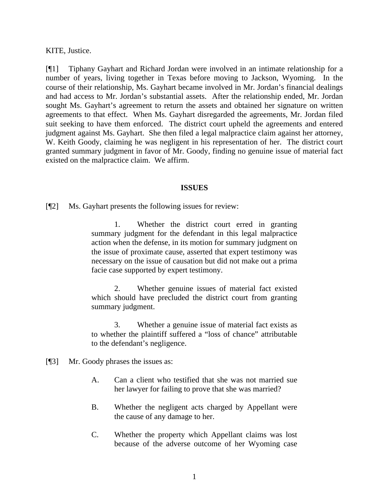KITE, Justice.

[¶1] Tiphany Gayhart and Richard Jordan were involved in an intimate relationship for a number of years, living together in Texas before moving to Jackson, Wyoming. In the course of their relationship, Ms. Gayhart became involved in Mr. Jordan's financial dealings and had access to Mr. Jordan's substantial assets. After the relationship ended, Mr. Jordan sought Ms. Gayhart's agreement to return the assets and obtained her signature on written agreements to that effect. When Ms. Gayhart disregarded the agreements, Mr. Jordan filed suit seeking to have them enforced. The district court upheld the agreements and entered judgment against Ms. Gayhart. She then filed a legal malpractice claim against her attorney, W. Keith Goody, claiming he was negligent in his representation of her. The district court granted summary judgment in favor of Mr. Goody, finding no genuine issue of material fact existed on the malpractice claim. We affirm.

#### **ISSUES**

[¶2] Ms. Gayhart presents the following issues for review:

1. Whether the district court erred in granting summary judgment for the defendant in this legal malpractice action when the defense, in its motion for summary judgment on the issue of proximate cause, asserted that expert testimony was necessary on the issue of causation but did not make out a prima facie case supported by expert testimony.

2. Whether genuine issues of material fact existed which should have precluded the district court from granting summary judgment.

3. Whether a genuine issue of material fact exists as to whether the plaintiff suffered a "loss of chance" attributable to the defendant's negligence.

- [¶3] Mr. Goody phrases the issues as:
	- A. Can a client who testified that she was not married sue her lawyer for failing to prove that she was married?
	- B. Whether the negligent acts charged by Appellant were the cause of any damage to her.
	- C. Whether the property which Appellant claims was lost because of the adverse outcome of her Wyoming case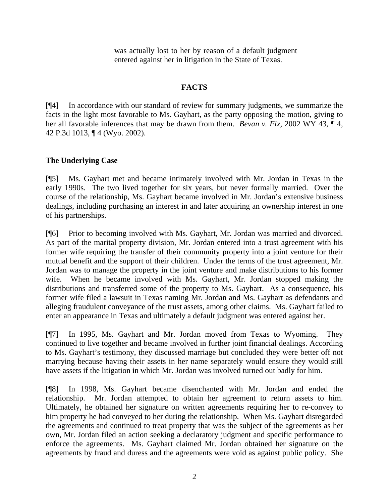was actually lost to her by reason of a default judgment entered against her in litigation in the State of Texas.

# **FACTS**

[¶4] In accordance with our standard of review for summary judgments, we summarize the facts in the light most favorable to Ms. Gayhart, as the party opposing the motion, giving to her all favorable inferences that may be drawn from them. *Bevan v. Fix*, 2002 WY 43, ¶ 4, 42 P.3d 1013, ¶ 4 (Wyo. 2002).

# **The Underlying Case**

[¶5] Ms. Gayhart met and became intimately involved with Mr. Jordan in Texas in the early 1990s. The two lived together for six years, but never formally married. Over the course of the relationship, Ms. Gayhart became involved in Mr. Jordan's extensive business dealings, including purchasing an interest in and later acquiring an ownership interest in one of his partnerships.

[¶6] Prior to becoming involved with Ms. Gayhart, Mr. Jordan was married and divorced. As part of the marital property division, Mr. Jordan entered into a trust agreement with his former wife requiring the transfer of their community property into a joint venture for their mutual benefit and the support of their children. Under the terms of the trust agreement, Mr. Jordan was to manage the property in the joint venture and make distributions to his former wife. When he became involved with Ms. Gayhart, Mr. Jordan stopped making the distributions and transferred some of the property to Ms. Gayhart. As a consequence, his former wife filed a lawsuit in Texas naming Mr. Jordan and Ms. Gayhart as defendants and alleging fraudulent conveyance of the trust assets, among other claims. Ms. Gayhart failed to enter an appearance in Texas and ultimately a default judgment was entered against her.

[¶7] In 1995, Ms. Gayhart and Mr. Jordan moved from Texas to Wyoming. They continued to live together and became involved in further joint financial dealings. According to Ms. Gayhart's testimony, they discussed marriage but concluded they were better off not marrying because having their assets in her name separately would ensure they would still have assets if the litigation in which Mr. Jordan was involved turned out badly for him.

[¶8] In 1998, Ms. Gayhart became disenchanted with Mr. Jordan and ended the relationship. Mr. Jordan attempted to obtain her agreement to return assets to him. Ultimately, he obtained her signature on written agreements requiring her to re-convey to him property he had conveyed to her during the relationship. When Ms. Gayhart disregarded the agreements and continued to treat property that was the subject of the agreements as her own, Mr. Jordan filed an action seeking a declaratory judgment and specific performance to enforce the agreements. Ms. Gayhart claimed Mr. Jordan obtained her signature on the agreements by fraud and duress and the agreements were void as against public policy. She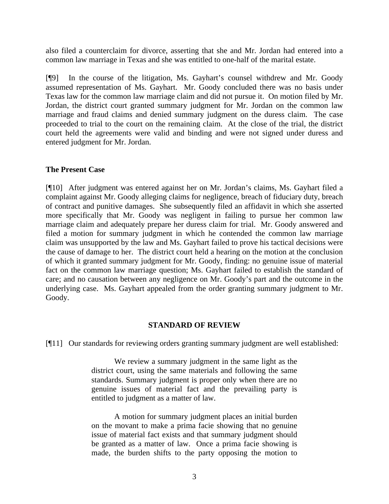also filed a counterclaim for divorce, asserting that she and Mr. Jordan had entered into a common law marriage in Texas and she was entitled to one-half of the marital estate.

[¶9] In the course of the litigation, Ms. Gayhart's counsel withdrew and Mr. Goody assumed representation of Ms. Gayhart. Mr. Goody concluded there was no basis under Texas law for the common law marriage claim and did not pursue it. On motion filed by Mr. Jordan, the district court granted summary judgment for Mr. Jordan on the common law marriage and fraud claims and denied summary judgment on the duress claim. The case proceeded to trial to the court on the remaining claim. At the close of the trial, the district court held the agreements were valid and binding and were not signed under duress and entered judgment for Mr. Jordan.

### **The Present Case**

[¶10] After judgment was entered against her on Mr. Jordan's claims, Ms. Gayhart filed a complaint against Mr. Goody alleging claims for negligence, breach of fiduciary duty, breach of contract and punitive damages. She subsequently filed an affidavit in which she asserted more specifically that Mr. Goody was negligent in failing to pursue her common law marriage claim and adequately prepare her duress claim for trial. Mr. Goody answered and filed a motion for summary judgment in which he contended the common law marriage claim was unsupported by the law and Ms. Gayhart failed to prove his tactical decisions were the cause of damage to her. The district court held a hearing on the motion at the conclusion of which it granted summary judgment for Mr. Goody, finding: no genuine issue of material fact on the common law marriage question; Ms. Gayhart failed to establish the standard of care; and no causation between any negligence on Mr. Goody's part and the outcome in the underlying case. Ms. Gayhart appealed from the order granting summary judgment to Mr. Goody.

#### **STANDARD OF REVIEW**

[¶11] Our standards for reviewing orders granting summary judgment are well established:

We review a summary judgment in the same light as the district court, using the same materials and following the same standards. Summary judgment is proper only when there are no genuine issues of material fact and the prevailing party is entitled to judgment as a matter of law.

A motion for summary judgment places an initial burden on the movant to make a prima facie showing that no genuine issue of material fact exists and that summary judgment should be granted as a matter of law. Once a prima facie showing is made, the burden shifts to the party opposing the motion to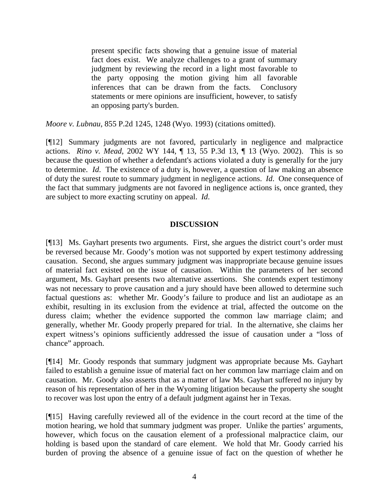present specific facts showing that a genuine issue of material fact does exist. We analyze challenges to a grant of summary judgment by reviewing the record in a light most favorable to the party opposing the motion giving him all favorable inferences that can be drawn from the facts. Conclusory statements or mere opinions are insufficient, however, to satisfy an opposing party's burden.

*Moore v. Lubnau*, 855 P.2d 1245, 1248 (Wyo. 1993) (citations omitted).

[¶12] Summary judgments are not favored, particularly in negligence and malpractice actions. *Rino v. Mead*, 2002 WY 144, ¶ 13, 55 P.3d 13, ¶ 13 (Wyo. 2002). This is so because the question of whether a defendant's actions violated a duty is generally for the jury to determine. *Id*. The existence of a duty is, however, a question of law making an absence of duty the surest route to summary judgment in negligence actions. *Id*. One consequence of the fact that summary judgments are not favored in negligence actions is, once granted, they are subject to more exacting scrutiny on appeal. *Id*.

### **DISCUSSION**

[¶13] Ms. Gayhart presents two arguments. First, she argues the district court's order must be reversed because Mr. Goody's motion was not supported by expert testimony addressing causation. Second, she argues summary judgment was inappropriate because genuine issues of material fact existed on the issue of causation. Within the parameters of her second argument, Ms. Gayhart presents two alternative assertions. She contends expert testimony was not necessary to prove causation and a jury should have been allowed to determine such factual questions as: whether Mr. Goody's failure to produce and list an audiotape as an exhibit, resulting in its exclusion from the evidence at trial, affected the outcome on the duress claim; whether the evidence supported the common law marriage claim; and generally, whether Mr. Goody properly prepared for trial. In the alternative, she claims her expert witness's opinions sufficiently addressed the issue of causation under a "loss of chance" approach.

[¶14] Mr. Goody responds that summary judgment was appropriate because Ms. Gayhart failed to establish a genuine issue of material fact on her common law marriage claim and on causation. Mr. Goody also asserts that as a matter of law Ms. Gayhart suffered no injury by reason of his representation of her in the Wyoming litigation because the property she sought to recover was lost upon the entry of a default judgment against her in Texas.

[¶15] Having carefully reviewed all of the evidence in the court record at the time of the motion hearing, we hold that summary judgment was proper. Unlike the parties' arguments, however, which focus on the causation element of a professional malpractice claim, our holding is based upon the standard of care element. We hold that Mr. Goody carried his burden of proving the absence of a genuine issue of fact on the question of whether he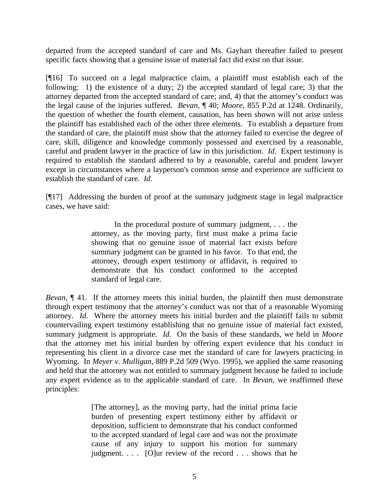departed from the accepted standard of care and Ms. Gayhart thereafter failed to present specific facts showing that a genuine issue of material fact did exist on that issue.

[¶16] To succeed on a legal malpractice claim, a plaintiff must establish each of the following: 1) the existence of a duty; 2) the accepted standard of legal care; 3) that the attorney departed from the accepted standard of care; and, 4) that the attorney's conduct was the legal cause of the injuries suffered. *Bevan*, ¶ 40; *Moore,* 855 P.2d at 1248. Ordinarily, the question of whether the fourth element, causation, has been shown will not arise unless the plaintiff has established each of the other three elements. To establish a departure from the standard of care, the plaintiff must show that the attorney failed to exercise the degree of care, skill, diligence and knowledge commonly possessed and exercised by a reasonable, careful and prudent lawyer in the practice of law in this jurisdiction. *Id*. Expert testimony is required to establish the standard adhered to by a reasonable, careful and prudent lawyer except in circumstances where a layperson's common sense and experience are sufficient to establish the standard of care. *Id*.

[¶17] Addressing the burden of proof at the summary judgment stage in legal malpractice cases, we have said:

> In the procedural posture of summary judgment, . . . the attorney, as the moving party, first must make a prima facie showing that no genuine issue of material fact exists before summary judgment can be granted in his favor. To that end, the attorney, through expert testimony or affidavit, is required to demonstrate that his conduct conformed to the accepted standard of legal care.

*Bevan*, ¶ 41. If the attorney meets this initial burden, the plaintiff then must demonstrate through expert testimony that the attorney's conduct was not that of a reasonable Wyoming attorney. *Id*. Where the attorney meets his initial burden and the plaintiff fails to submit countervailing expert testimony establishing that no genuine issue of material fact existed, summary judgment is appropriate. *Id*. On the basis of these standards, we held in *Moore* that the attorney met his initial burden by offering expert evidence that his conduct in representing his client in a divorce case met the standard of care for lawyers practicing in Wyoming. In *Meyer v. Mulligan*, 889 P.2d 509 (Wyo. 1995), we applied the same reasoning and held that the attorney was not entitled to summary judgment because he failed to include any expert evidence as to the applicable standard of care. In *Bevan,* we reaffirmed these principles:

> [The attorney], as the moving party, had the initial prima facie burden of presenting expert testimony either by affidavit or deposition, sufficient to demonstrate that his conduct conformed to the accepted standard of legal care and was not the proximate cause of any injury to support his motion for summary judgment. . . . [O]ur review of the record . . . shows that he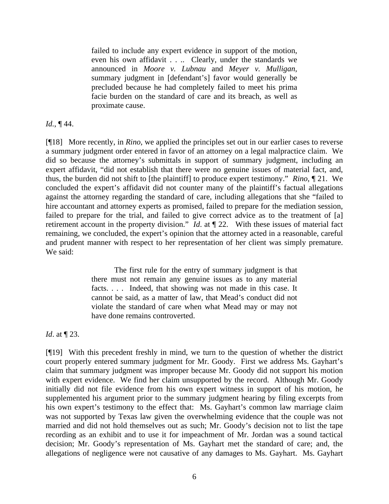failed to include any expert evidence in support of the motion, even his own affidavit . . .. Clearly, under the standards we announced in *Moore v. Lubnau* and *Meyer v. Mulligan*, summary judgment in [defendant's] favor would generally be precluded because he had completely failed to meet his prima facie burden on the standard of care and its breach, as well as proximate cause.

### *Id.*, ¶ 44.

[¶18] More recently, in *Rino*, we applied the principles set out in our earlier cases to reverse a summary judgment order entered in favor of an attorney on a legal malpractice claim. We did so because the attorney's submittals in support of summary judgment, including an expert affidavit, "did not establish that there were no genuine issues of material fact, and, thus, the burden did not shift to [the plaintiff] to produce expert testimony." *Rino*, ¶ 21. We concluded the expert's affidavit did not counter many of the plaintiff's factual allegations against the attorney regarding the standard of care, including allegations that she "failed to hire accountant and attorney experts as promised, failed to prepare for the mediation session, failed to prepare for the trial, and failed to give correct advice as to the treatment of [a] retirement account in the property division." *Id*. at ¶ 22. With these issues of material fact remaining, we concluded, the expert's opinion that the attorney acted in a reasonable, careful and prudent manner with respect to her representation of her client was simply premature. We said:

> The first rule for the entry of summary judgment is that there must not remain any genuine issues as to any material facts. . . . Indeed, that showing was not made in this case. It cannot be said, as a matter of law, that Mead's conduct did not violate the standard of care when what Mead may or may not have done remains controverted.

*Id*. at ¶ 23.

[¶19] With this precedent freshly in mind, we turn to the question of whether the district court properly entered summary judgment for Mr. Goody. First we address Ms. Gayhart's claim that summary judgment was improper because Mr. Goody did not support his motion with expert evidence. We find her claim unsupported by the record. Although Mr. Goody initially did not file evidence from his own expert witness in support of his motion, he supplemented his argument prior to the summary judgment hearing by filing excerpts from his own expert's testimony to the effect that: Ms. Gayhart's common law marriage claim was not supported by Texas law given the overwhelming evidence that the couple was not married and did not hold themselves out as such; Mr. Goody's decision not to list the tape recording as an exhibit and to use it for impeachment of Mr. Jordan was a sound tactical decision; Mr. Goody's representation of Ms. Gayhart met the standard of care; and, the allegations of negligence were not causative of any damages to Ms. Gayhart. Ms. Gayhart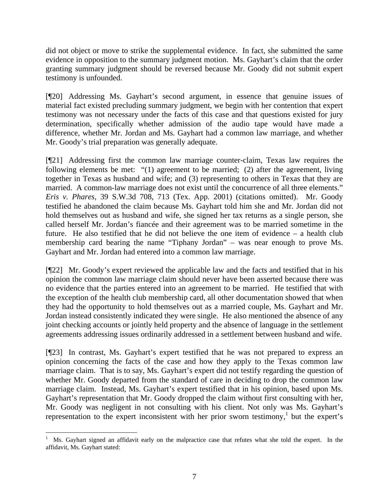did not object or move to strike the supplemental evidence. In fact, she submitted the same evidence in opposition to the summary judgment motion. Ms. Gayhart's claim that the order granting summary judgment should be reversed because Mr. Goody did not submit expert testimony is unfounded.

[¶20] Addressing Ms. Gayhart's second argument, in essence that genuine issues of material fact existed precluding summary judgment, we begin with her contention that expert testimony was not necessary under the facts of this case and that questions existed for jury determination, specifically whether admission of the audio tape would have made a difference, whether Mr. Jordan and Ms. Gayhart had a common law marriage, and whether Mr. Goody's trial preparation was generally adequate.

[¶21] Addressing first the common law marriage counter-claim, Texas law requires the following elements be met: "(1) agreement to be married; (2) after the agreement, living together in Texas as husband and wife; and (3) representing to others in Texas that they are married. A common-law marriage does not exist until the concurrence of all three elements." *Eris v. Phares,* 39 S.W.3d 708, 713 (Tex. App. 2001) (citations omitted). Mr. Goody testified he abandoned the claim because Ms. Gayhart told him she and Mr. Jordan did not hold themselves out as husband and wife, she signed her tax returns as a single person, she called herself Mr. Jordan's fiancée and their agreement was to be married sometime in the future. He also testified that he did not believe the one item of evidence – a health club membership card bearing the name "Tiphany Jordan" – was near enough to prove Ms. Gayhart and Mr. Jordan had entered into a common law marriage.

[¶22] Mr. Goody's expert reviewed the applicable law and the facts and testified that in his opinion the common law marriage claim should never have been asserted because there was no evidence that the parties entered into an agreement to be married. He testified that with the exception of the health club membership card, all other documentation showed that when they had the opportunity to hold themselves out as a married couple, Ms. Gayhart and Mr. Jordan instead consistently indicated they were single. He also mentioned the absence of any joint checking accounts or jointly held property and the absence of language in the settlement agreements addressing issues ordinarily addressed in a settlement between husband and wife.

[¶23] In contrast, Ms. Gayhart's expert testified that he was not prepared to express an opinion concerning the facts of the case and how they apply to the Texas common law marriage claim. That is to say, Ms. Gayhart's expert did not testify regarding the question of whether Mr. Goody departed from the standard of care in deciding to drop the common law marriage claim. Instead, Ms. Gayhart's expert testified that in his opinion, based upon Ms. Gayhart's representation that Mr. Goody dropped the claim without first consulting with her, Mr. Goody was negligent in not consulting with his client. Not only was Ms. Gayhart's representation to the expert inconsistent with her prior sworn testimony, $<sup>1</sup>$  but the expert's</sup>

 1 Ms. Gayhart signed an affidavit early on the malpractice case that refutes what she told the expert. In the affidavit, Ms. Gayhart stated: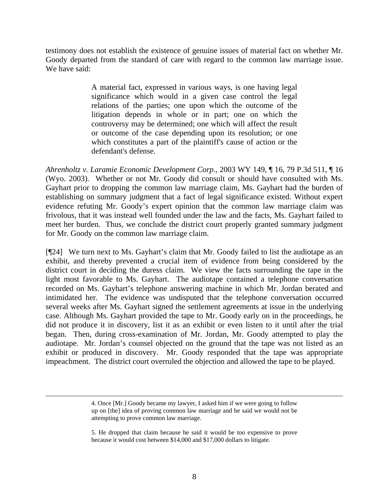testimony does not establish the existence of genuine issues of material fact on whether Mr. Goody departed from the standard of care with regard to the common law marriage issue. We have said:

> A material fact, expressed in various ways, is one having legal significance which would in a given case control the legal relations of the parties; one upon which the outcome of the litigation depends in whole or in part; one on which the controversy may be determined; one which will affect the result or outcome of the case depending upon its resolution; or one which constitutes a part of the plaintiff's cause of action or the defendant's defense.

*Ahrenholtz v. Laramie Economic Development Corp*., 2003 WY 149, ¶ 16, 79 P.3d 511, ¶ 16 (Wyo. 2003). Whether or not Mr. Goody did consult or should have consulted with Ms. Gayhart prior to dropping the common law marriage claim, Ms. Gayhart had the burden of establishing on summary judgment that a fact of legal significance existed. Without expert evidence refuting Mr. Goody's expert opinion that the common law marriage claim was frivolous, that it was instead well founded under the law and the facts, Ms. Gayhart failed to meet her burden. Thus, we conclude the district court properly granted summary judgment for Mr. Goody on the common law marriage claim.

[¶24] We turn next to Ms. Gayhart's claim that Mr. Goody failed to list the audiotape as an exhibit, and thereby prevented a crucial item of evidence from being considered by the district court in deciding the duress claim. We view the facts surrounding the tape in the light most favorable to Ms. Gayhart. The audiotape contained a telephone conversation recorded on Ms. Gayhart's telephone answering machine in which Mr. Jordan berated and intimidated her. The evidence was undisputed that the telephone conversation occurred several weeks after Ms. Gayhart signed the settlement agreements at issue in the underlying case. Although Ms. Gayhart provided the tape to Mr. Goody early on in the proceedings, he did not produce it in discovery, list it as an exhibit or even listen to it until after the trial began. Then, during cross-examination of Mr. Jordan, Mr. Goody attempted to play the audiotape. Mr. Jordan's counsel objected on the ground that the tape was not listed as an exhibit or produced in discovery. Mr. Goody responded that the tape was appropriate impeachment. The district court overruled the objection and allowed the tape to be played.

5. He dropped that claim because he said it would be too expensive to prove because it would cost between \$14,000 and \$17,000 dollars to litigate.

 <sup>4.</sup> Once [Mr.] Goody became my lawyer, I asked him if we were going to follow up on [the] idea of proving common law marriage and he said we would not be attempting to prove common law marriage.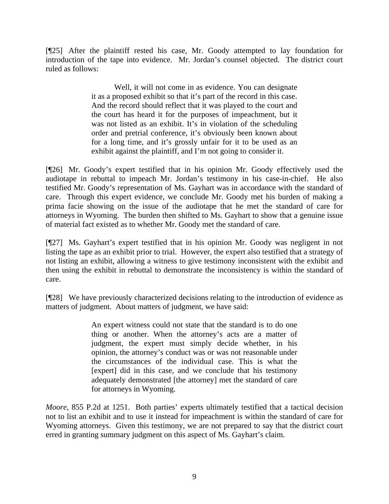[¶25] After the plaintiff rested his case, Mr. Goody attempted to lay foundation for introduction of the tape into evidence. Mr. Jordan's counsel objected. The district court ruled as follows:

> Well, it will not come in as evidence. You can designate it as a proposed exhibit so that it's part of the record in this case. And the record should reflect that it was played to the court and the court has heard it for the purposes of impeachment, but it was not listed as an exhibit. It's in violation of the scheduling order and pretrial conference, it's obviously been known about for a long time, and it's grossly unfair for it to be used as an exhibit against the plaintiff, and I'm not going to consider it.

[¶26] Mr. Goody's expert testified that in his opinion Mr. Goody effectively used the audiotape in rebuttal to impeach Mr. Jordan's testimony in his case-in-chief. He also testified Mr. Goody's representation of Ms. Gayhart was in accordance with the standard of care. Through this expert evidence, we conclude Mr. Goody met his burden of making a prima facie showing on the issue of the audiotape that he met the standard of care for attorneys in Wyoming. The burden then shifted to Ms. Gayhart to show that a genuine issue of material fact existed as to whether Mr. Goody met the standard of care.

[¶27] Ms. Gayhart's expert testified that in his opinion Mr. Goody was negligent in not listing the tape as an exhibit prior to trial. However, the expert also testified that a strategy of not listing an exhibit, allowing a witness to give testimony inconsistent with the exhibit and then using the exhibit in rebuttal to demonstrate the inconsistency is within the standard of care.

[¶28] We have previously characterized decisions relating to the introduction of evidence as matters of judgment. About matters of judgment, we have said:

> An expert witness could not state that the standard is to do one thing or another. When the attorney's acts are a matter of judgment, the expert must simply decide whether, in his opinion, the attorney's conduct was or was not reasonable under the circumstances of the individual case. This is what the [expert] did in this case, and we conclude that his testimony adequately demonstrated [the attorney] met the standard of care for attorneys in Wyoming.

*Moore*, 855 P.2d at 1251. Both parties' experts ultimately testified that a tactical decision not to list an exhibit and to use it instead for impeachment is within the standard of care for Wyoming attorneys. Given this testimony, we are not prepared to say that the district court erred in granting summary judgment on this aspect of Ms. Gayhart's claim.